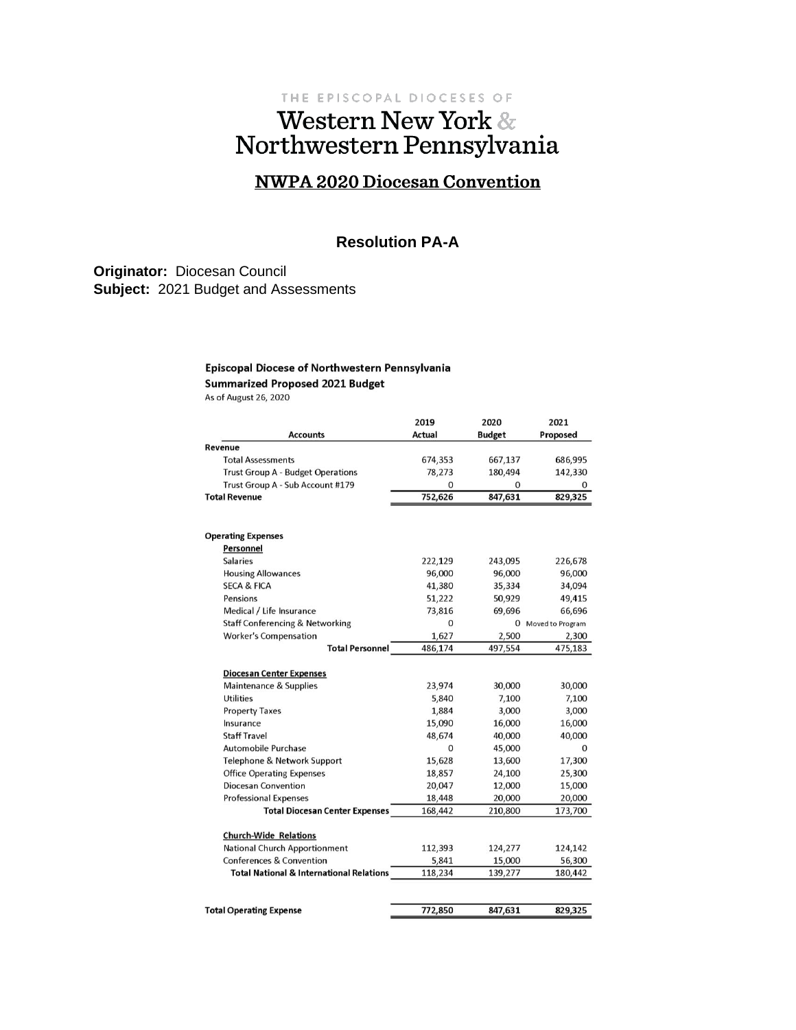# THE EPISCOPAL DIOCESES OF Western New York & Northwestern Pennsylvania

# **NWPA 2020 Diocesan Convention**

### **Resolution PA-A**

**Originator:** Diocesan Council **Subject:** 2021 Budget and Assessments

#### Episcopal Diocese of Northwestern Pennsylvania

**Summarized Proposed 2021 Budget** 

As of August 26, 2020

|                                                     | 2019          | 2020          | 2021               |
|-----------------------------------------------------|---------------|---------------|--------------------|
| <b>Accounts</b>                                     | <b>Actual</b> | <b>Budget</b> | Proposed           |
| Revenue                                             |               |               |                    |
| <b>Total Assessments</b>                            | 674,353       | 667,137       | 686,995            |
| Trust Group A - Budget Operations                   | 78,273        | 180,494       | 142,330            |
| Trust Group A - Sub Account #179                    | 0             | 0             | 0                  |
| <b>Total Revenue</b>                                | 752,626       | 847,631       | 829,325            |
| <b>Operating Expenses</b>                           |               |               |                    |
| Personnel                                           |               |               |                    |
| <b>Salaries</b>                                     | 222,129       | 243,095       | 226,678            |
| <b>Housing Allowances</b>                           | 96,000        | 96,000        | 96,000             |
| <b>SECA &amp; FICA</b>                              | 41,380        | 35,334        | 34,094             |
| Pensions                                            | 51,222        | 50,929        | 49,415             |
| Medical / Life Insurance                            | 73,816        | 69,696        | 66,696             |
| <b>Staff Conferencing &amp; Networking</b>          | O             |               | 0 Moved to Program |
| <b>Worker's Compensation</b>                        | 1,627         | 2,500         | 2,300              |
| <b>Total Personnel</b>                              | 486,174       | 497,554       | 475,183            |
| <b>Diocesan Center Expenses</b>                     |               |               |                    |
| Maintenance & Supplies                              | 23,974        | 30,000        | 30,000             |
| <b>Utilities</b>                                    | 5,840         | 7,100         | 7,100              |
| <b>Property Taxes</b>                               | 1,884         | 3,000         | 3,000              |
| Insurance                                           | 15,090        | 16,000        | 16,000             |
| <b>Staff Travel</b>                                 | 48,674        | 40,000        | 40,000             |
| Automobile Purchase                                 | O             | 45,000        | $\Omega$           |
| Telephone & Network Support                         | 15,628        | 13,600        | 17,300             |
| <b>Office Operating Expenses</b>                    | 18,857        | 24.100        | 25,300             |
| Diocesan Convention                                 | 20,047        | 12,000        | 15,000             |
| <b>Professional Expenses</b>                        | 18,448        | 20,000        | 20,000             |
| <b>Total Diocesan Center Expenses</b>               | 168,442       | 210,800       | 173,700            |
| <b>Church-Wide Relations</b>                        |               |               |                    |
| <b>National Church Apportionment</b>                | 112,393       | 124,277       | 124,142            |
| <b>Conferences &amp; Convention</b>                 | 5,841         | 15,000        | 56,300             |
| <b>Total National &amp; International Relations</b> | 118,234       | 139,277       | 180,442            |
|                                                     |               |               |                    |
| <b>Total Operating Expense</b>                      | 772,850       | 847,631       | 829,325            |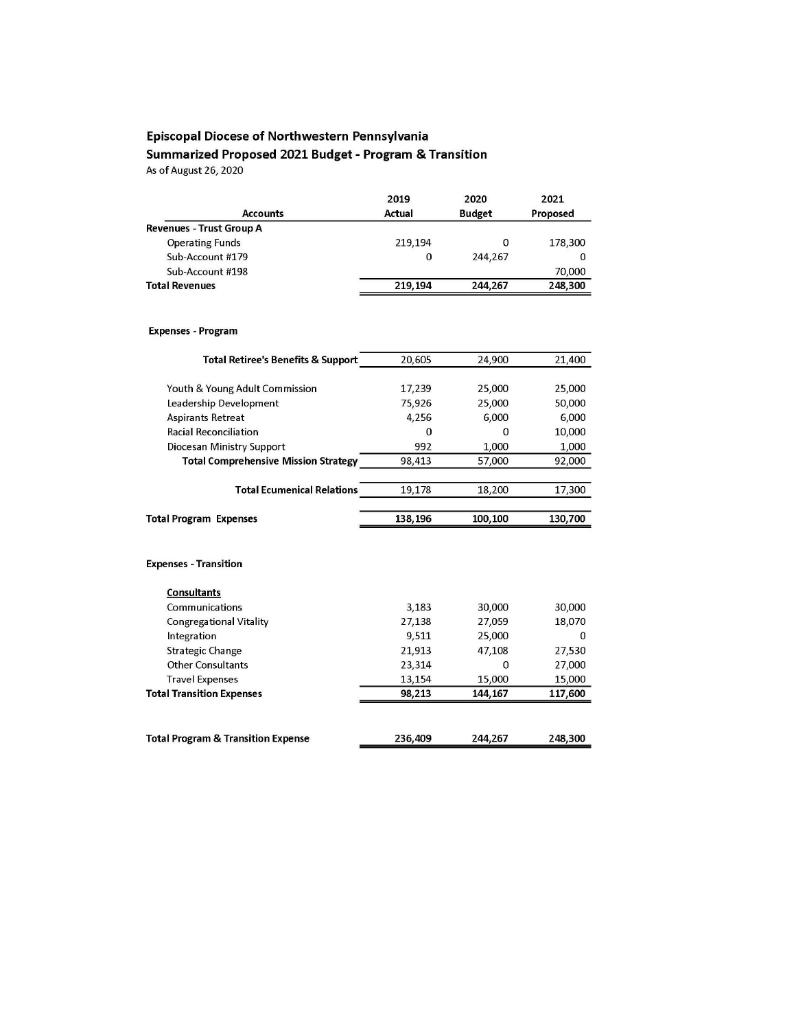# Episcopal Diocese of Northwestern Pennsylvania Summarized Proposed 2021 Budget - Program & Transition

As of August 26, 2020

|                                 | 2019    | 2020          | 2021     |
|---------------------------------|---------|---------------|----------|
| <b>Accounts</b>                 | Actual  | <b>Budget</b> | Proposed |
| <b>Revenues - Trust Group A</b> |         |               |          |
| <b>Operating Funds</b>          | 219,194 | 0             | 178,300  |
| Sub-Account #179                | 0       | 244,267       | 0        |
| Sub-Account #198                |         |               | 70,000   |
| <b>Total Revenues</b>           | 219.194 | 244.267       | 248,300  |
|                                 |         |               |          |

#### **Expenses - Program**

| <b>Total Retiree's Benefits &amp; Support</b> | 20,605  | 24,900   | 21,400   |
|-----------------------------------------------|---------|----------|----------|
|                                               |         |          |          |
| Youth & Young Adult Commission                | 17,239  | 25,000   | 25,000   |
| Leadership Development                        | 75,926  | 25,000   | 50,000   |
| Aspirants Retreat                             | 4,256   | 6,000    | 6,000    |
| <b>Racial Reconciliation</b>                  | O       | 0        | 10,000   |
| Diocesan Ministry Support                     | 992     | 1,000    | 1,000    |
| <b>Total Comprehensive Mission Strategy</b>   | 98,413  | 57,000   | 92,000   |
| <b>Total Ecumenical Relations</b>             | 19,178  | 18,200   | 17,300   |
|                                               |         |          |          |
| <b>Total Program Expenses</b>                 | 138,196 | 100,100  | 130,700  |
| <b>Expenses - Transition</b>                  |         |          |          |
| <b>Consultants</b>                            |         |          |          |
| Communications                                | 3,183   | 30,000   | 30,000   |
| <b>Congregational Vitality</b>                | 27,138  | 27,059   | 18,070   |
| Integration                                   | 9.511   | 25,000   | $\Omega$ |
| <b>Strategic Change</b>                       | 21,913  | 47,108   | 27,530   |
| <b>Other Consultants</b>                      | 23,314  | $\Omega$ | 27,000   |
| <b>Travel Expenses</b>                        | 13,154  | 15,000   | 15,000   |
| <b>Total Transition Expenses</b>              | 98,213  | 144,167  | 117,600  |
|                                               |         |          |          |
| <b>Total Program &amp; Transition Expense</b> | 236,409 | 244,267  | 248,300  |
|                                               |         |          |          |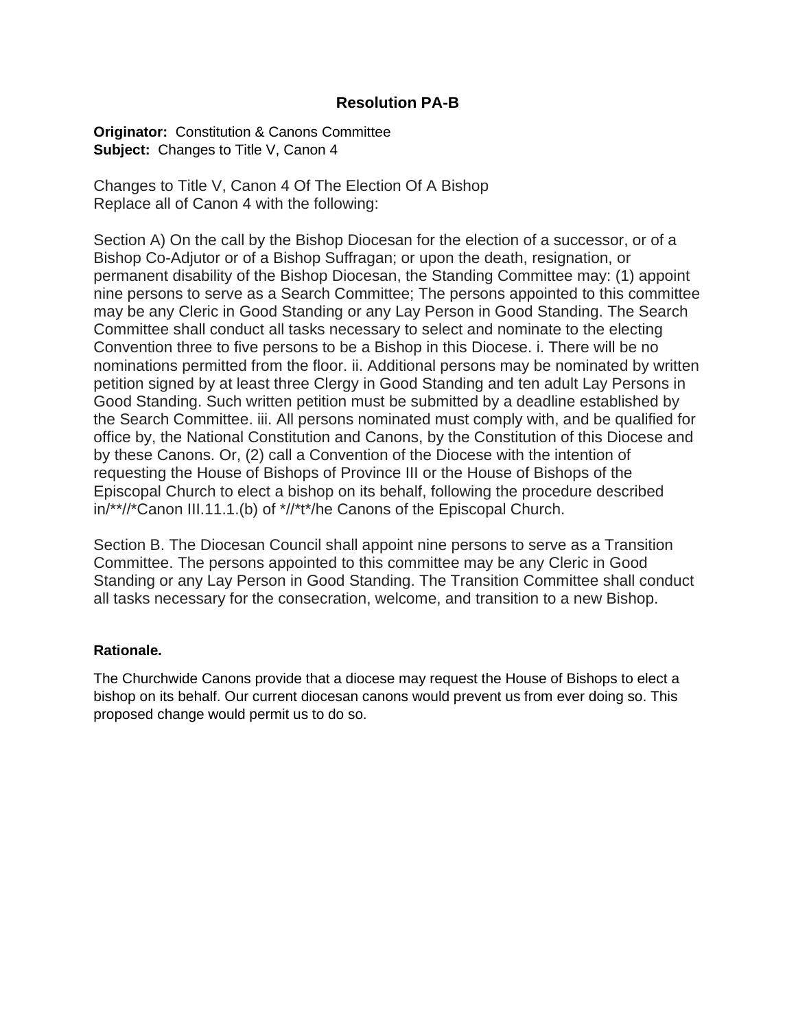# **Resolution PA-B**

**Originator:** Constitution & Canons Committee **Subject:** Changes to Title V, Canon 4

Changes to Title V, Canon 4 Of The Election Of A Bishop Replace all of Canon 4 with the following:

Section A) On the call by the Bishop Diocesan for the election of a successor, or of a Bishop Co-Adjutor or of a Bishop Suffragan; or upon the death, resignation, or permanent disability of the Bishop Diocesan, the Standing Committee may: (1) appoint nine persons to serve as a Search Committee; The persons appointed to this committee may be any Cleric in Good Standing or any Lay Person in Good Standing. The Search Committee shall conduct all tasks necessary to select and nominate to the electing Convention three to five persons to be a Bishop in this Diocese. i. There will be no nominations permitted from the floor. ii. Additional persons may be nominated by written petition signed by at least three Clergy in Good Standing and ten adult Lay Persons in Good Standing. Such written petition must be submitted by a deadline established by the Search Committee. iii. All persons nominated must comply with, and be qualified for office by, the National Constitution and Canons, by the Constitution of this Diocese and by these Canons. Or, (2) call a Convention of the Diocese with the intention of requesting the House of Bishops of Province III or the House of Bishops of the Episcopal Church to elect a bishop on its behalf, following the procedure described in/\*\*//\*Canon III.11.1.(b) of \*//\*t\*/he Canons of the Episcopal Church.

Section B. The Diocesan Council shall appoint nine persons to serve as a Transition Committee. The persons appointed to this committee may be any Cleric in Good Standing or any Lay Person in Good Standing. The Transition Committee shall conduct all tasks necessary for the consecration, welcome, and transition to a new Bishop.

### **Rationale.**

The Churchwide Canons provide that a diocese may request the House of Bishops to elect a bishop on its behalf. Our current diocesan canons would prevent us from ever doing so. This proposed change would permit us to do so.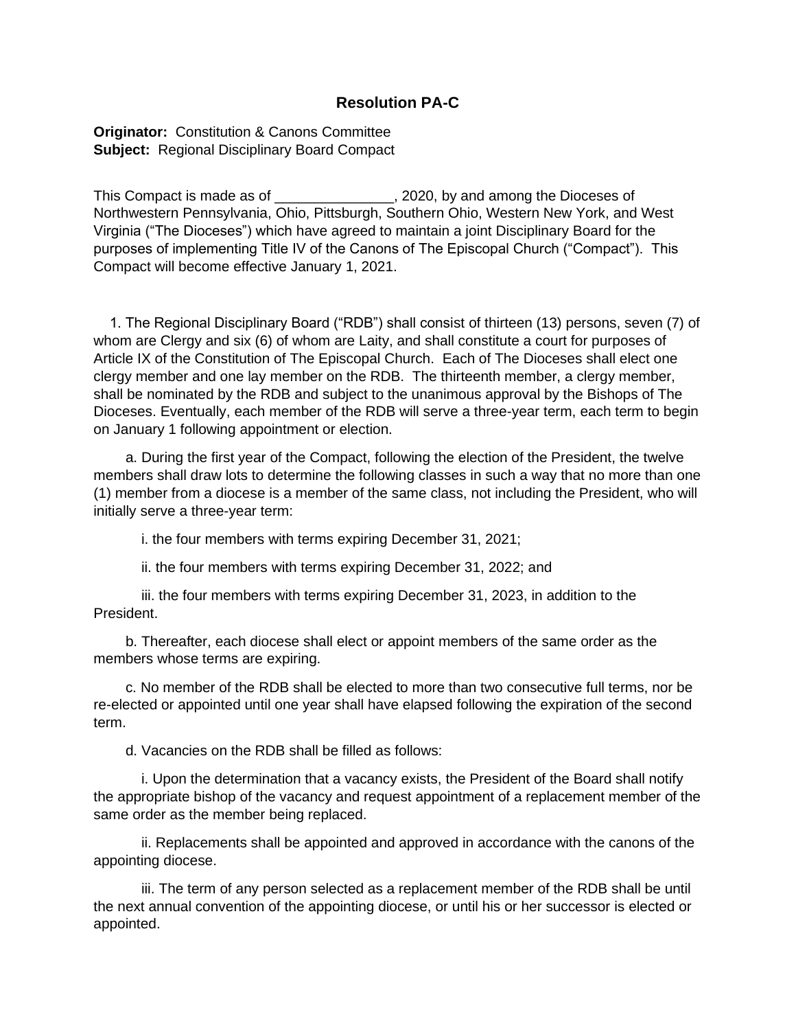## **Resolution PA-C**

**Originator:** Constitution & Canons Committee **Subject:** Regional Disciplinary Board Compact

This Compact is made as of \_\_\_\_\_\_\_\_\_\_\_\_\_\_\_, 2020, by and among the Dioceses of Northwestern Pennsylvania, Ohio, Pittsburgh, Southern Ohio, Western New York, and West Virginia ("The Dioceses") which have agreed to maintain a joint Disciplinary Board for the purposes of implementing Title IV of the Canons of The Episcopal Church ("Compact"). This Compact will become effective January 1, 2021.

 1. The Regional Disciplinary Board ("RDB") shall consist of thirteen (13) persons, seven (7) of whom are Clergy and six (6) of whom are Laity, and shall constitute a court for purposes of Article IX of the Constitution of The Episcopal Church. Each of The Dioceses shall elect one clergy member and one lay member on the RDB. The thirteenth member, a clergy member, shall be nominated by the RDB and subject to the unanimous approval by the Bishops of The Dioceses. Eventually, each member of the RDB will serve a three-year term, each term to begin on January 1 following appointment or election.

 a. During the first year of the Compact, following the election of the President, the twelve members shall draw lots to determine the following classes in such a way that no more than one (1) member from a diocese is a member of the same class, not including the President, who will initially serve a three-year term:

i. the four members with terms expiring December 31, 2021;

ii. the four members with terms expiring December 31, 2022; and

 iii. the four members with terms expiring December 31, 2023, in addition to the President.

 b. Thereafter, each diocese shall elect or appoint members of the same order as the members whose terms are expiring.

 c. No member of the RDB shall be elected to more than two consecutive full terms, nor be re-elected or appointed until one year shall have elapsed following the expiration of the second term.

d. Vacancies on the RDB shall be filled as follows:

 i. Upon the determination that a vacancy exists, the President of the Board shall notify the appropriate bishop of the vacancy and request appointment of a replacement member of the same order as the member being replaced.

 ii. Replacements shall be appointed and approved in accordance with the canons of the appointing diocese.

 iii. The term of any person selected as a replacement member of the RDB shall be until the next annual convention of the appointing diocese, or until his or her successor is elected or appointed.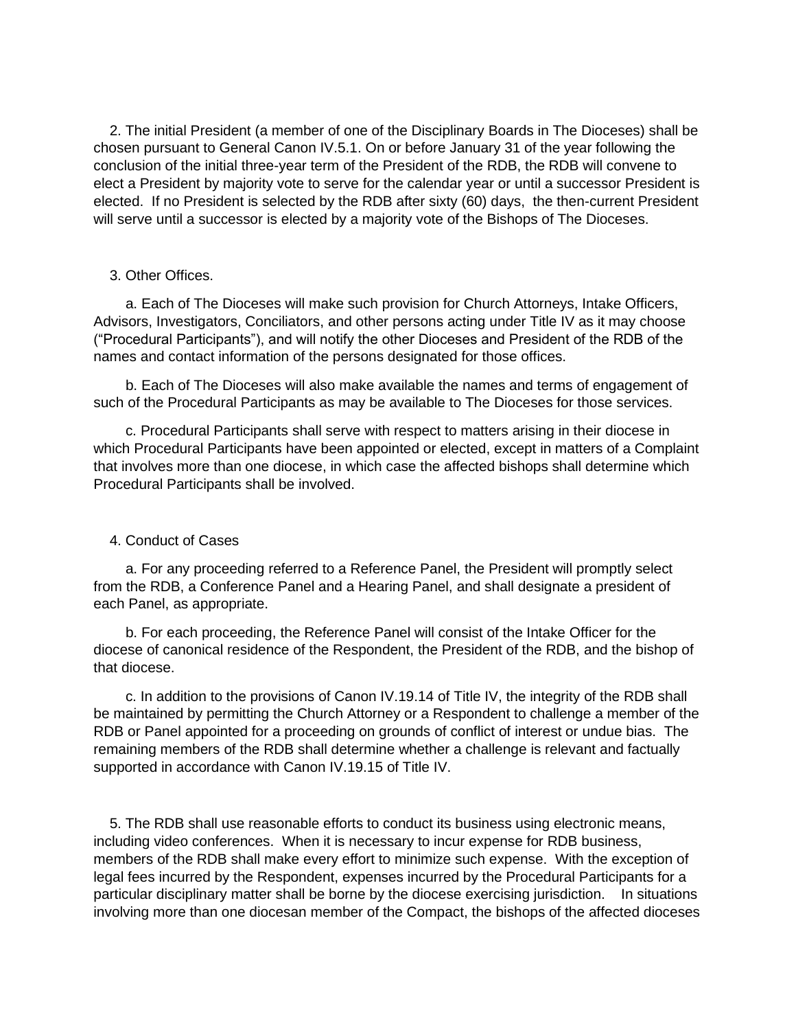2. The initial President (a member of one of the Disciplinary Boards in The Dioceses) shall be chosen pursuant to General Canon IV.5.1. On or before January 31 of the year following the conclusion of the initial three-year term of the President of the RDB, the RDB will convene to elect a President by majority vote to serve for the calendar year or until a successor President is elected. If no President is selected by the RDB after sixty (60) days, the then-current President will serve until a successor is elected by a majority vote of the Bishops of The Dioceses.

#### 3. Other Offices.

 a. Each of The Dioceses will make such provision for Church Attorneys, Intake Officers, Advisors, Investigators, Conciliators, and other persons acting under Title IV as it may choose ("Procedural Participants"), and will notify the other Dioceses and President of the RDB of the names and contact information of the persons designated for those offices.

 b. Each of The Dioceses will also make available the names and terms of engagement of such of the Procedural Participants as may be available to The Dioceses for those services.

 c. Procedural Participants shall serve with respect to matters arising in their diocese in which Procedural Participants have been appointed or elected, except in matters of a Complaint that involves more than one diocese, in which case the affected bishops shall determine which Procedural Participants shall be involved.

#### 4. Conduct of Cases

 a. For any proceeding referred to a Reference Panel, the President will promptly select from the RDB, a Conference Panel and a Hearing Panel, and shall designate a president of each Panel, as appropriate.

 b. For each proceeding, the Reference Panel will consist of the Intake Officer for the diocese of canonical residence of the Respondent, the President of the RDB, and the bishop of that diocese.

 c. In addition to the provisions of Canon IV.19.14 of Title IV, the integrity of the RDB shall be maintained by permitting the Church Attorney or a Respondent to challenge a member of the RDB or Panel appointed for a proceeding on grounds of conflict of interest or undue bias. The remaining members of the RDB shall determine whether a challenge is relevant and factually supported in accordance with Canon IV.19.15 of Title IV.

 5. The RDB shall use reasonable efforts to conduct its business using electronic means, including video conferences. When it is necessary to incur expense for RDB business, members of the RDB shall make every effort to minimize such expense. With the exception of legal fees incurred by the Respondent, expenses incurred by the Procedural Participants for a particular disciplinary matter shall be borne by the diocese exercising jurisdiction. In situations involving more than one diocesan member of the Compact, the bishops of the affected dioceses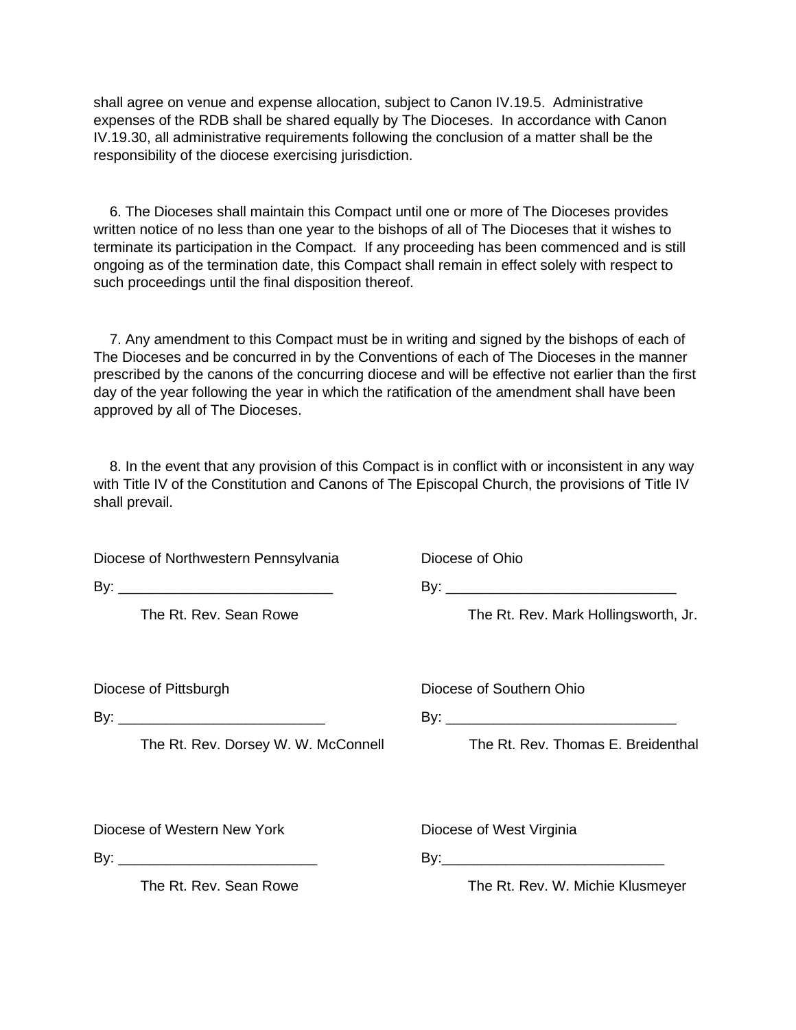shall agree on venue and expense allocation, subject to Canon IV.19.5. Administrative expenses of the RDB shall be shared equally by The Dioceses. In accordance with Canon IV.19.30, all administrative requirements following the conclusion of a matter shall be the responsibility of the diocese exercising jurisdiction.

 6. The Dioceses shall maintain this Compact until one or more of The Dioceses provides written notice of no less than one year to the bishops of all of The Dioceses that it wishes to terminate its participation in the Compact. If any proceeding has been commenced and is still ongoing as of the termination date, this Compact shall remain in effect solely with respect to such proceedings until the final disposition thereof.

 7. Any amendment to this Compact must be in writing and signed by the bishops of each of The Dioceses and be concurred in by the Conventions of each of The Dioceses in the manner prescribed by the canons of the concurring diocese and will be effective not earlier than the first day of the year following the year in which the ratification of the amendment shall have been approved by all of The Dioceses.

 8. In the event that any provision of this Compact is in conflict with or inconsistent in any way with Title IV of the Constitution and Canons of The Episcopal Church, the provisions of Title IV shall prevail.

| Diocese of Northwestern Pennsylvania | Diocese of Ohio                      |  |
|--------------------------------------|--------------------------------------|--|
|                                      |                                      |  |
| The Rt. Rev. Sean Rowe               | The Rt. Rev. Mark Hollingsworth, Jr. |  |
| Diocese of Pittsburgh                | Diocese of Southern Ohio             |  |
|                                      |                                      |  |
| The Rt. Rev. Dorsey W. W. McConnell  | The Rt. Rev. Thomas E. Breidenthal   |  |
| Diocese of Western New York          | Diocese of West Virginia             |  |
|                                      |                                      |  |
| The Rt. Rev. Sean Rowe               | The Rt. Rev. W. Michie Klusmeyer     |  |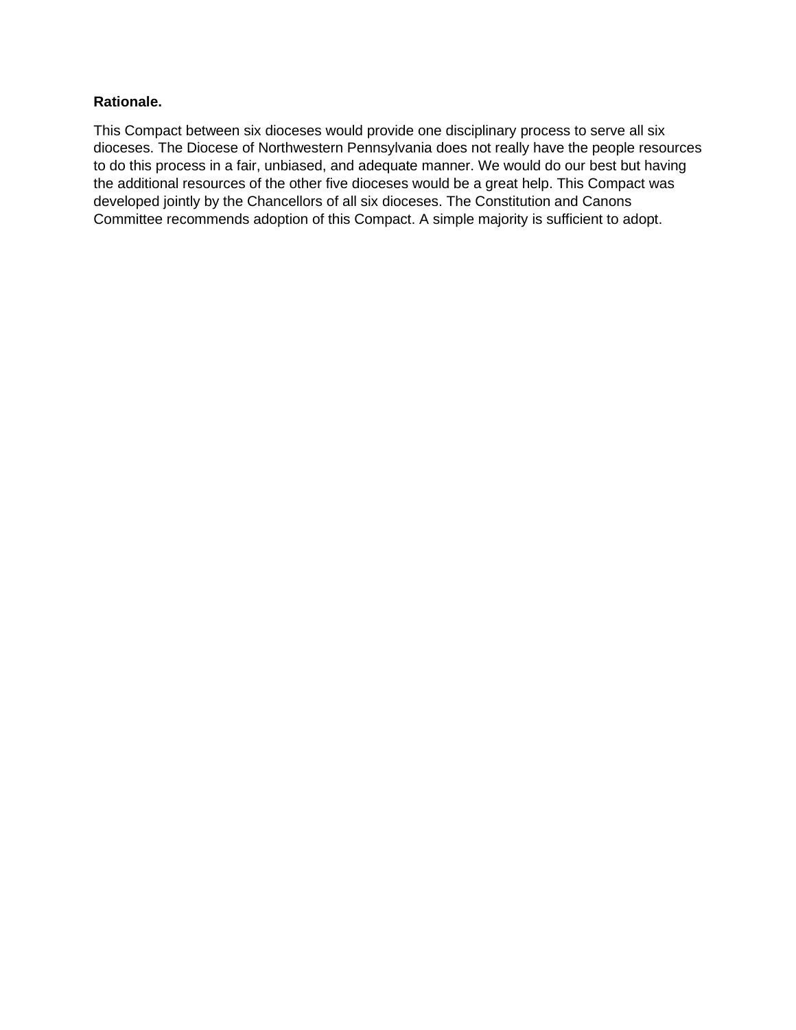### **Rationale.**

This Compact between six dioceses would provide one disciplinary process to serve all six dioceses. The Diocese of Northwestern Pennsylvania does not really have the people resources to do this process in a fair, unbiased, and adequate manner. We would do our best but having the additional resources of the other five dioceses would be a great help. This Compact was developed jointly by the Chancellors of all six dioceses. The Constitution and Canons Committee recommends adoption of this Compact. A simple majority is sufficient to adopt.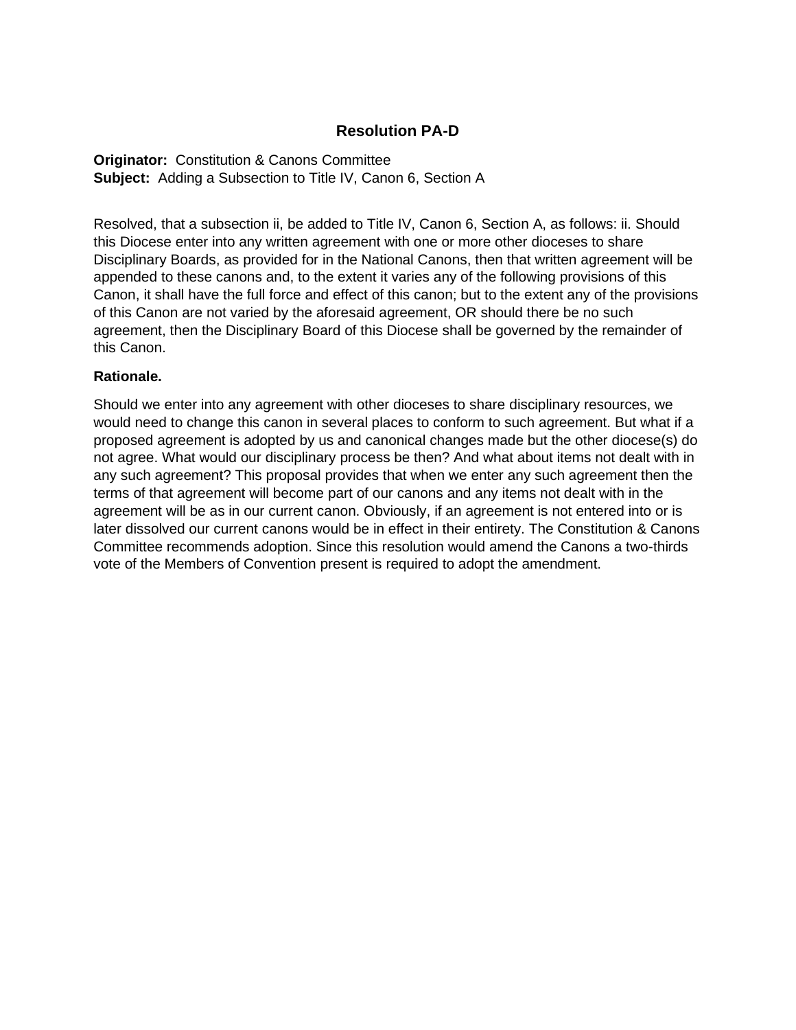# **Resolution PA-D**

**Originator:** Constitution & Canons Committee **Subject:** Adding a Subsection to Title IV, Canon 6, Section A

Resolved, that a subsection ii, be added to Title IV, Canon 6, Section A, as follows: ii. Should this Diocese enter into any written agreement with one or more other dioceses to share Disciplinary Boards, as provided for in the National Canons, then that written agreement will be appended to these canons and, to the extent it varies any of the following provisions of this Canon, it shall have the full force and effect of this canon; but to the extent any of the provisions of this Canon are not varied by the aforesaid agreement, OR should there be no such agreement, then the Disciplinary Board of this Diocese shall be governed by the remainder of this Canon.

### **Rationale.**

Should we enter into any agreement with other dioceses to share disciplinary resources, we would need to change this canon in several places to conform to such agreement. But what if a proposed agreement is adopted by us and canonical changes made but the other diocese(s) do not agree. What would our disciplinary process be then? And what about items not dealt with in any such agreement? This proposal provides that when we enter any such agreement then the terms of that agreement will become part of our canons and any items not dealt with in the agreement will be as in our current canon. Obviously, if an agreement is not entered into or is later dissolved our current canons would be in effect in their entirety. The Constitution & Canons Committee recommends adoption. Since this resolution would amend the Canons a two-thirds vote of the Members of Convention present is required to adopt the amendment.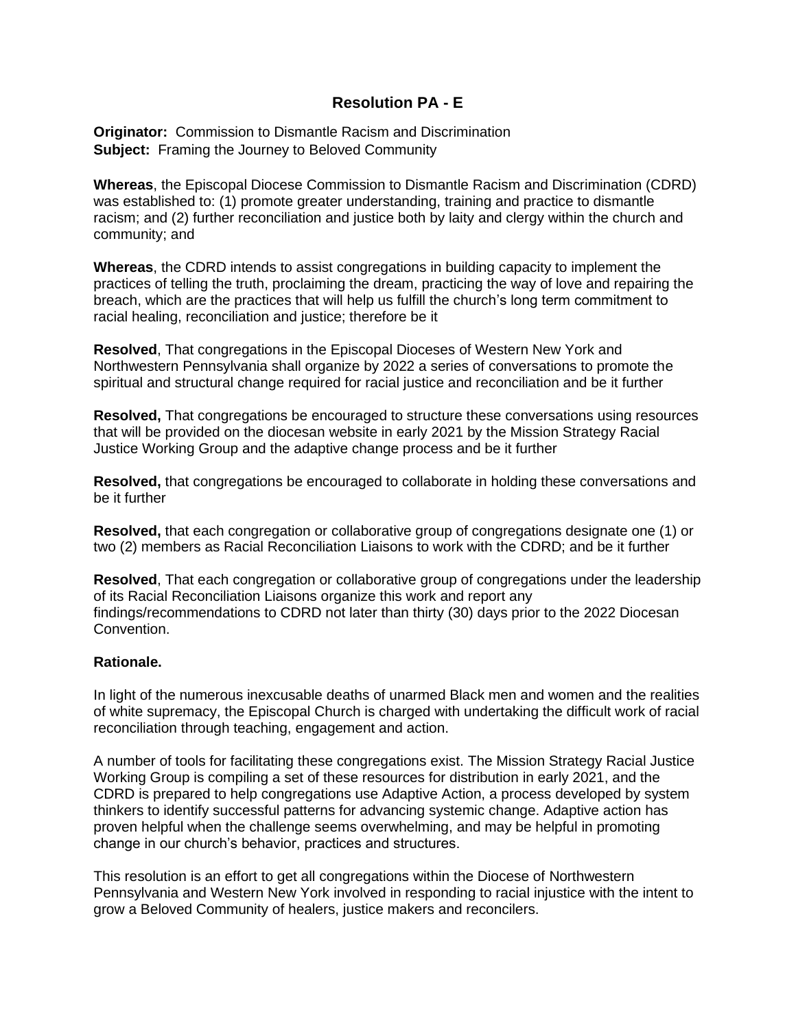## **Resolution PA - E**

**Originator:** Commission to Dismantle Racism and Discrimination **Subject:** Framing the Journey to Beloved Community

**Whereas**, the Episcopal Diocese Commission to Dismantle Racism and Discrimination (CDRD) was established to: (1) promote greater understanding, training and practice to dismantle racism; and (2) further reconciliation and justice both by laity and clergy within the church and community; and

**Whereas**, the CDRD intends to assist congregations in building capacity to implement the practices of telling the truth, proclaiming the dream, practicing the way of love and repairing the breach, which are the practices that will help us fulfill the church's long term commitment to racial healing, reconciliation and justice; therefore be it

**Resolved**, That congregations in the Episcopal Dioceses of Western New York and Northwestern Pennsylvania shall organize by 2022 a series of conversations to promote the spiritual and structural change required for racial justice and reconciliation and be it further

**Resolved,** That congregations be encouraged to structure these conversations using resources that will be provided on the diocesan website in early 2021 by the Mission Strategy Racial Justice Working Group and the adaptive change process and be it further

**Resolved,** that congregations be encouraged to collaborate in holding these conversations and be it further

**Resolved,** that each congregation or collaborative group of congregations designate one (1) or two (2) members as Racial Reconciliation Liaisons to work with the CDRD; and be it further

**Resolved**, That each congregation or collaborative group of congregations under the leadership of its Racial Reconciliation Liaisons organize this work and report any findings/recommendations to CDRD not later than thirty (30) days prior to the 2022 Diocesan Convention.

#### **Rationale.**

In light of the numerous inexcusable deaths of unarmed Black men and women and the realities of white supremacy, the Episcopal Church is charged with undertaking the difficult work of racial reconciliation through teaching, engagement and action.

A number of tools for facilitating these congregations exist. The Mission Strategy Racial Justice Working Group is compiling a set of these resources for distribution in early 2021, and the CDRD is prepared to help congregations use Adaptive Action, a process developed by system thinkers to identify successful patterns for advancing systemic change. Adaptive action has proven helpful when the challenge seems overwhelming, and may be helpful in promoting change in our church's behavior, practices and structures.

This resolution is an effort to get all congregations within the Diocese of Northwestern Pennsylvania and Western New York involved in responding to racial injustice with the intent to grow a Beloved Community of healers, justice makers and reconcilers.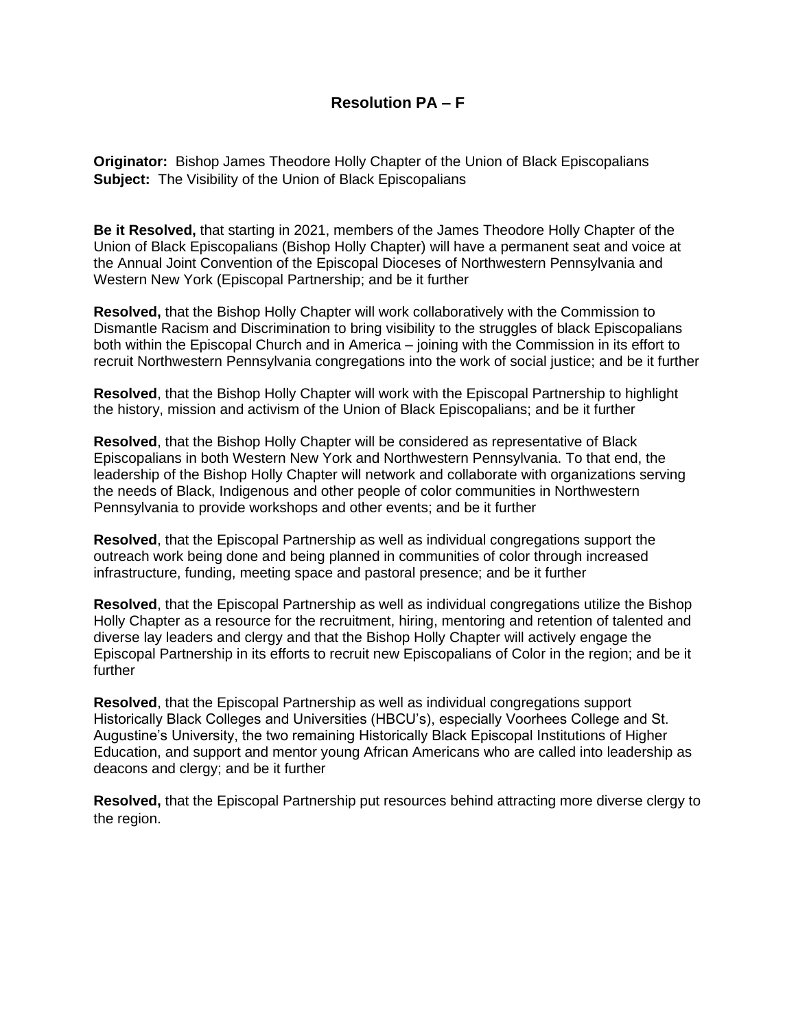**Originator:** Bishop James Theodore Holly Chapter of the Union of Black Episcopalians **Subject:** The Visibility of the Union of Black Episcopalians

**Be it Resolved,** that starting in 2021, members of the James Theodore Holly Chapter of the Union of Black Episcopalians (Bishop Holly Chapter) will have a permanent seat and voice at the Annual Joint Convention of the Episcopal Dioceses of Northwestern Pennsylvania and Western New York (Episcopal Partnership; and be it further

**Resolved,** that the Bishop Holly Chapter will work collaboratively with the Commission to Dismantle Racism and Discrimination to bring visibility to the struggles of black Episcopalians both within the Episcopal Church and in America – joining with the Commission in its effort to recruit Northwestern Pennsylvania congregations into the work of social justice; and be it further

**Resolved**, that the Bishop Holly Chapter will work with the Episcopal Partnership to highlight the history, mission and activism of the Union of Black Episcopalians; and be it further

**Resolved**, that the Bishop Holly Chapter will be considered as representative of Black Episcopalians in both Western New York and Northwestern Pennsylvania. To that end, the leadership of the Bishop Holly Chapter will network and collaborate with organizations serving the needs of Black, Indigenous and other people of color communities in Northwestern Pennsylvania to provide workshops and other events; and be it further

**Resolved**, that the Episcopal Partnership as well as individual congregations support the outreach work being done and being planned in communities of color through increased infrastructure, funding, meeting space and pastoral presence; and be it further

**Resolved**, that the Episcopal Partnership as well as individual congregations utilize the Bishop Holly Chapter as a resource for the recruitment, hiring, mentoring and retention of talented and diverse lay leaders and clergy and that the Bishop Holly Chapter will actively engage the Episcopal Partnership in its efforts to recruit new Episcopalians of Color in the region; and be it further

**Resolved**, that the Episcopal Partnership as well as individual congregations support Historically Black Colleges and Universities (HBCU's), especially Voorhees College and St. Augustine's University, the two remaining Historically Black Episcopal Institutions of Higher Education, and support and mentor young African Americans who are called into leadership as deacons and clergy; and be it further

**Resolved,** that the Episcopal Partnership put resources behind attracting more diverse clergy to the region.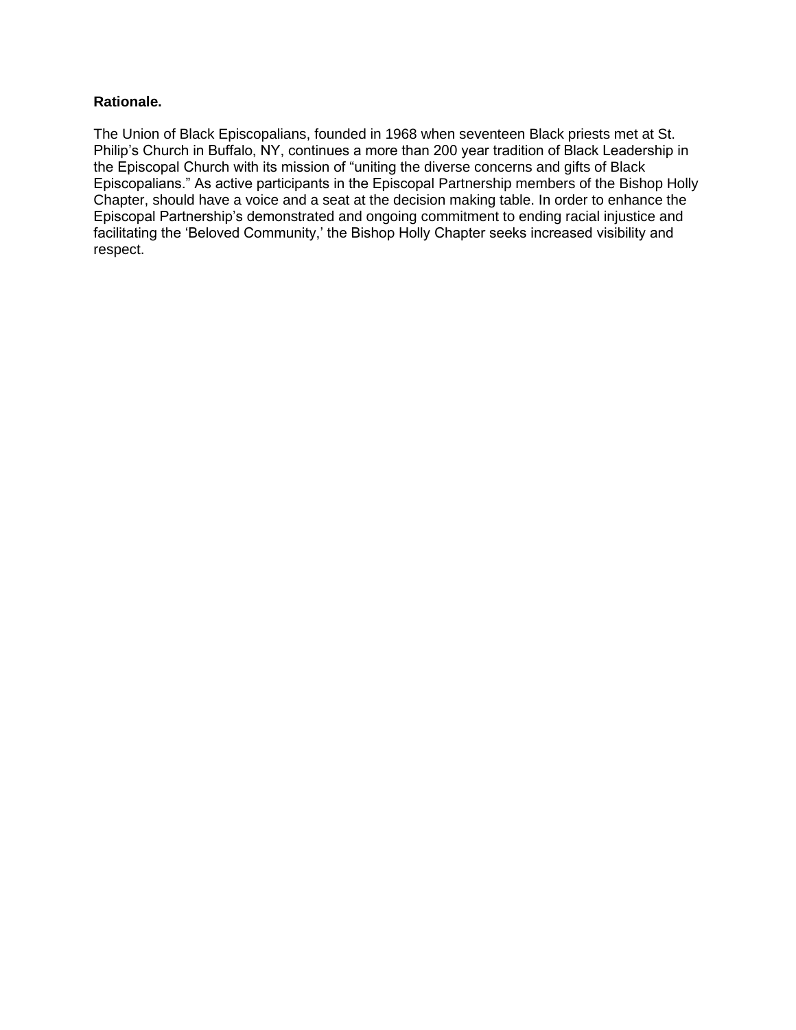### **Rationale.**

The Union of Black Episcopalians, founded in 1968 when seventeen Black priests met at St. Philip's Church in Buffalo, NY, continues a more than 200 year tradition of Black Leadership in the Episcopal Church with its mission of "uniting the diverse concerns and gifts of Black Episcopalians." As active participants in the Episcopal Partnership members of the Bishop Holly Chapter, should have a voice and a seat at the decision making table. In order to enhance the Episcopal Partnership's demonstrated and ongoing commitment to ending racial injustice and facilitating the 'Beloved Community,' the Bishop Holly Chapter seeks increased visibility and respect.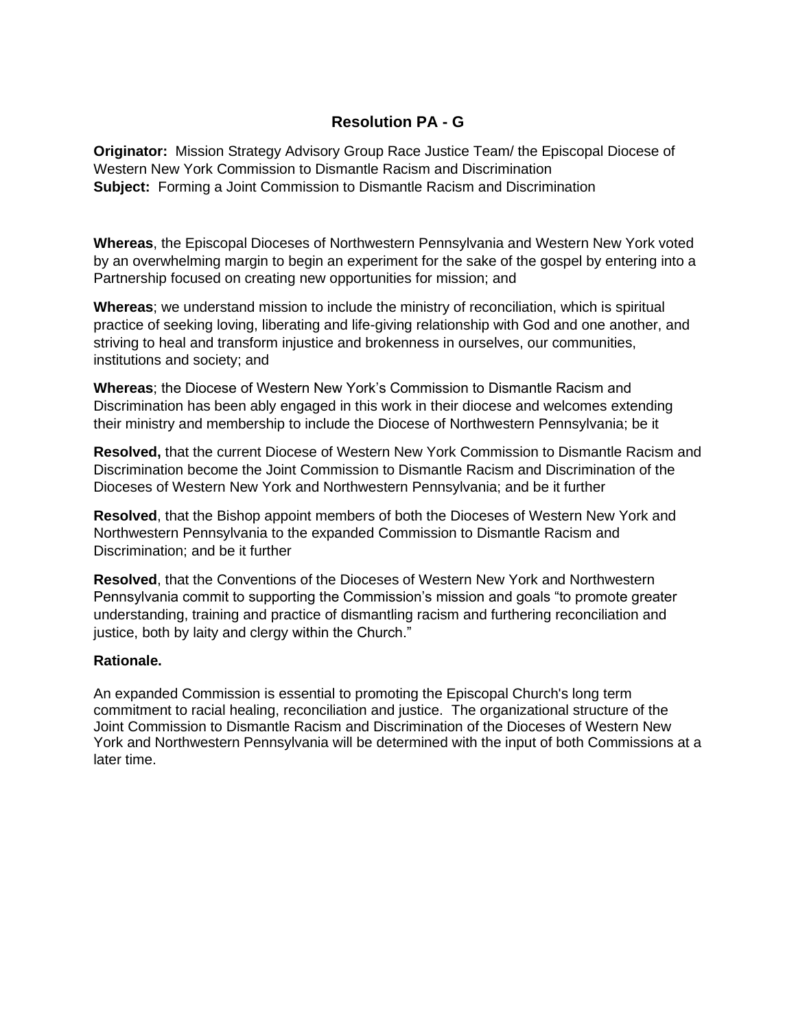## **Resolution PA - G**

**Originator:** Mission Strategy Advisory Group Race Justice Team/ the Episcopal Diocese of Western New York Commission to Dismantle Racism and Discrimination **Subject:** Forming a Joint Commission to Dismantle Racism and Discrimination

**Whereas**, the Episcopal Dioceses of Northwestern Pennsylvania and Western New York voted by an overwhelming margin to begin an experiment for the sake of the gospel by entering into a Partnership focused on creating new opportunities for mission; and

**Whereas**; we understand mission to include the ministry of reconciliation, which is spiritual practice of seeking loving, liberating and life-giving relationship with God and one another, and striving to heal and transform injustice and brokenness in ourselves, our communities, institutions and society; and

**Whereas**; the Diocese of Western New York's Commission to Dismantle Racism and Discrimination has been ably engaged in this work in their diocese and welcomes extending their ministry and membership to include the Diocese of Northwestern Pennsylvania; be it

**Resolved,** that the current Diocese of Western New York Commission to Dismantle Racism and Discrimination become the Joint Commission to Dismantle Racism and Discrimination of the Dioceses of Western New York and Northwestern Pennsylvania; and be it further

**Resolved**, that the Bishop appoint members of both the Dioceses of Western New York and Northwestern Pennsylvania to the expanded Commission to Dismantle Racism and Discrimination; and be it further

**Resolved**, that the Conventions of the Dioceses of Western New York and Northwestern Pennsylvania commit to supporting the Commission's mission and goals "to promote greater understanding, training and practice of dismantling racism and furthering reconciliation and justice, both by laity and clergy within the Church."

#### **Rationale.**

An expanded Commission is essential to promoting the Episcopal Church's long term commitment to racial healing, reconciliation and justice. The organizational structure of the Joint Commission to Dismantle Racism and Discrimination of the Dioceses of Western New York and Northwestern Pennsylvania will be determined with the input of both Commissions at a later time.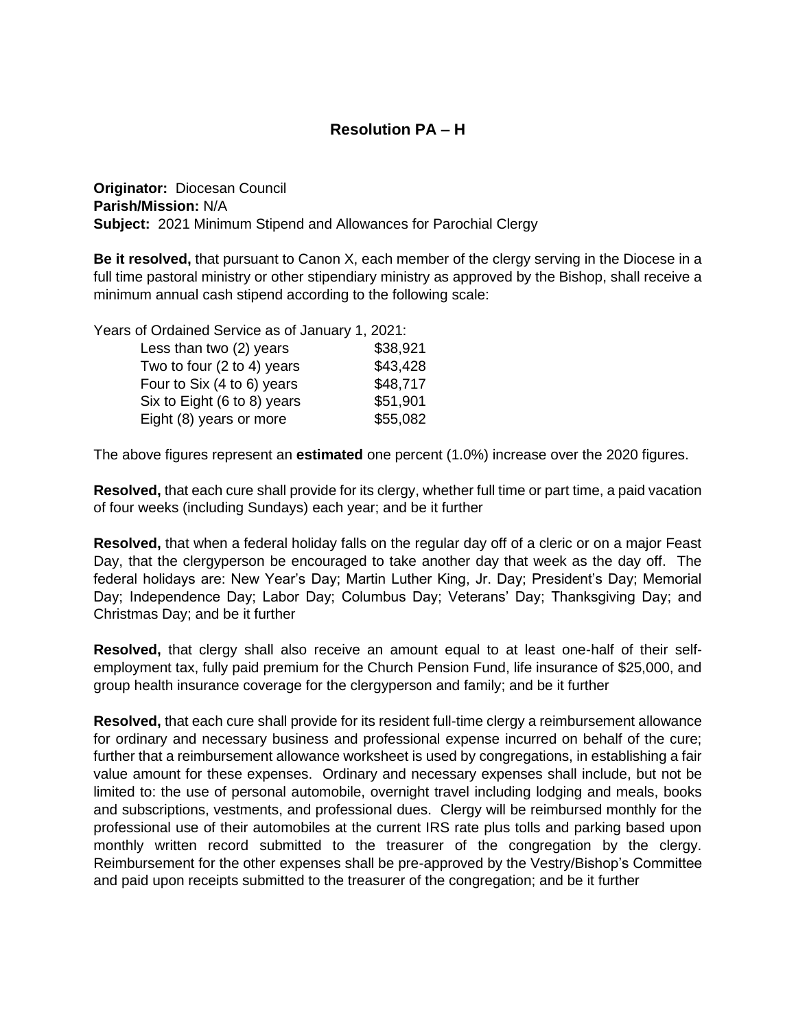# **Resolution PA – H**

**Originator:** Diocesan Council **Parish/Mission:** N/A **Subject:** 2021 Minimum Stipend and Allowances for Parochial Clergy

**Be it resolved,** that pursuant to Canon X, each member of the clergy serving in the Diocese in a full time pastoral ministry or other stipendiary ministry as approved by the Bishop, shall receive a minimum annual cash stipend according to the following scale:

Years of Ordained Service as of January 1, 2021:

| Less than two (2) years     | \$38,921 |
|-----------------------------|----------|
| Two to four (2 to 4) years  | \$43,428 |
| Four to Six (4 to 6) years  | \$48,717 |
| Six to Eight (6 to 8) years | \$51,901 |
| Eight (8) years or more     | \$55,082 |

The above figures represent an **estimated** one percent (1.0%) increase over the 2020 figures.

**Resolved,** that each cure shall provide for its clergy, whether full time or part time, a paid vacation of four weeks (including Sundays) each year; and be it further

**Resolved,** that when a federal holiday falls on the regular day off of a cleric or on a major Feast Day, that the clergyperson be encouraged to take another day that week as the day off. The federal holidays are: New Year's Day; Martin Luther King, Jr. Day; President's Day; Memorial Day; Independence Day; Labor Day; Columbus Day; Veterans' Day; Thanksgiving Day; and Christmas Day; and be it further

**Resolved,** that clergy shall also receive an amount equal to at least one-half of their selfemployment tax, fully paid premium for the Church Pension Fund, life insurance of \$25,000, and group health insurance coverage for the clergyperson and family; and be it further

**Resolved,** that each cure shall provide for its resident full-time clergy a reimbursement allowance for ordinary and necessary business and professional expense incurred on behalf of the cure; further that a reimbursement allowance worksheet is used by congregations, in establishing a fair value amount for these expenses. Ordinary and necessary expenses shall include, but not be limited to: the use of personal automobile, overnight travel including lodging and meals, books and subscriptions, vestments, and professional dues. Clergy will be reimbursed monthly for the professional use of their automobiles at the current IRS rate plus tolls and parking based upon monthly written record submitted to the treasurer of the congregation by the clergy. Reimbursement for the other expenses shall be pre-approved by the Vestry/Bishop's Committee and paid upon receipts submitted to the treasurer of the congregation; and be it further